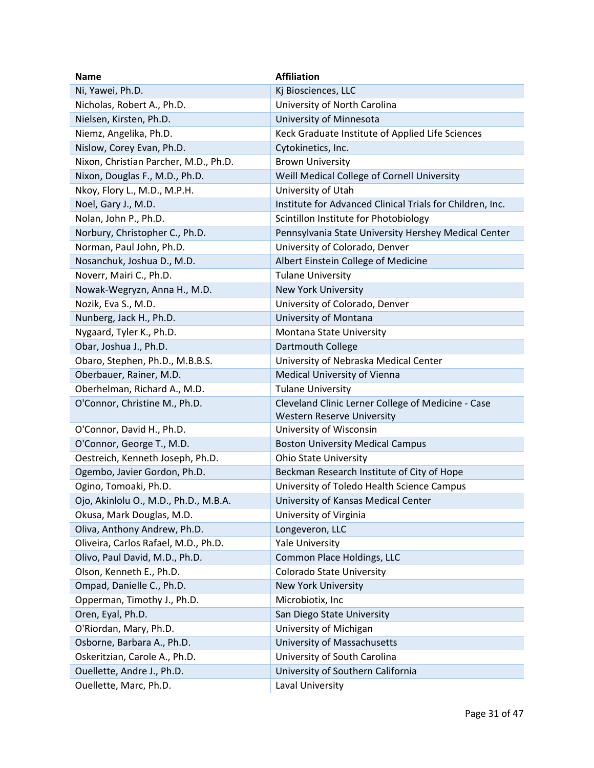| <b>Name</b>                           | <b>Affiliation</b>                                        |
|---------------------------------------|-----------------------------------------------------------|
| Ni, Yawei, Ph.D.                      | Kj Biosciences, LLC                                       |
| Nicholas, Robert A., Ph.D.            | University of North Carolina                              |
| Nielsen, Kirsten, Ph.D.               | University of Minnesota                                   |
| Niemz, Angelika, Ph.D.                | Keck Graduate Institute of Applied Life Sciences          |
| Nislow, Corey Evan, Ph.D.             | Cytokinetics, Inc.                                        |
| Nixon, Christian Parcher, M.D., Ph.D. | <b>Brown University</b>                                   |
| Nixon, Douglas F., M.D., Ph.D.        | Weill Medical College of Cornell University               |
| Nkoy, Flory L., M.D., M.P.H.          | University of Utah                                        |
| Noel, Gary J., M.D.                   | Institute for Advanced Clinical Trials for Children, Inc. |
| Nolan, John P., Ph.D.                 | Scintillon Institute for Photobiology                     |
| Norbury, Christopher C., Ph.D.        | Pennsylvania State University Hershey Medical Center      |
| Norman, Paul John, Ph.D.              | University of Colorado, Denver                            |
| Nosanchuk, Joshua D., M.D.            | Albert Einstein College of Medicine                       |
| Noverr, Mairi C., Ph.D.               | <b>Tulane University</b>                                  |
| Nowak-Wegryzn, Anna H., M.D.          | New York University                                       |
| Nozik, Eva S., M.D.                   | University of Colorado, Denver                            |
| Nunberg, Jack H., Ph.D.               | University of Montana                                     |
| Nygaard, Tyler K., Ph.D.              | Montana State University                                  |
| Obar, Joshua J., Ph.D.                | Dartmouth College                                         |
| Obaro, Stephen, Ph.D., M.B.B.S.       | University of Nebraska Medical Center                     |
| Oberbauer, Rainer, M.D.               | Medical University of Vienna                              |
| Oberhelman, Richard A., M.D.          | <b>Tulane University</b>                                  |
| O'Connor, Christine M., Ph.D.         | Cleveland Clinic Lerner College of Medicine - Case        |
|                                       | <b>Western Reserve University</b>                         |
| O'Connor, David H., Ph.D.             | University of Wisconsin                                   |
| O'Connor, George T., M.D.             | <b>Boston University Medical Campus</b>                   |
| Oestreich, Kenneth Joseph, Ph.D.      | <b>Ohio State University</b>                              |
| Ogembo, Javier Gordon, Ph.D.          | Beckman Research Institute of City of Hope                |
| Ogino, Tomoaki, Ph.D.                 | University of Toledo Health Science Campus                |
| Ojo, Akinlolu O., M.D., Ph.D., M.B.A. | University of Kansas Medical Center                       |
| Okusa, Mark Douglas, M.D.             | University of Virginia                                    |
| Oliva, Anthony Andrew, Ph.D.          | Longeveron, LLC                                           |
| Oliveira, Carlos Rafael, M.D., Ph.D.  | Yale University                                           |
| Olivo, Paul David, M.D., Ph.D.        | Common Place Holdings, LLC                                |
| Olson, Kenneth E., Ph.D.              | <b>Colorado State University</b>                          |
| Ompad, Danielle C., Ph.D.             | <b>New York University</b>                                |
| Opperman, Timothy J., Ph.D.           | Microbiotix, Inc                                          |
| Oren, Eyal, Ph.D.                     | San Diego State University                                |
| O'Riordan, Mary, Ph.D.                | University of Michigan                                    |
| Osborne, Barbara A., Ph.D.            | University of Massachusetts                               |
| Oskeritzian, Carole A., Ph.D.         | University of South Carolina                              |
| Ouellette, Andre J., Ph.D.            | University of Southern California                         |
| Ouellette, Marc, Ph.D.                | Laval University                                          |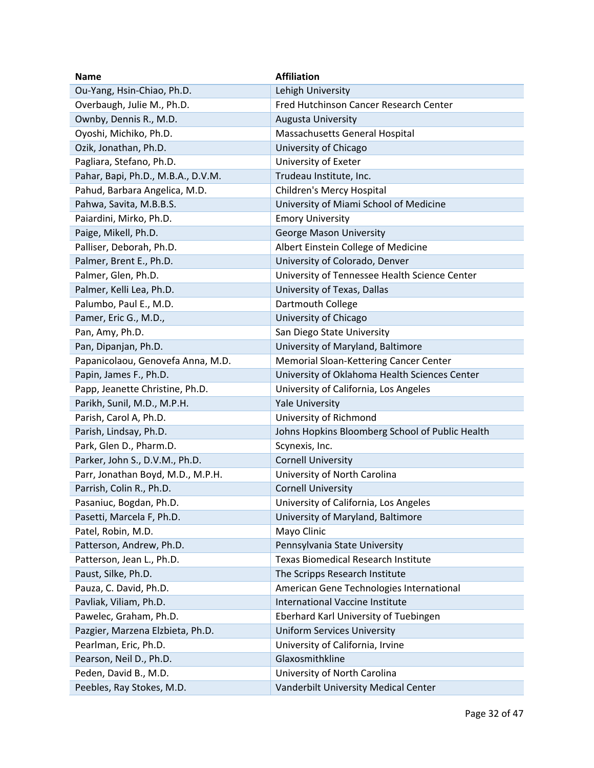| <b>Name</b>                        | <b>Affiliation</b>                              |
|------------------------------------|-------------------------------------------------|
| Ou-Yang, Hsin-Chiao, Ph.D.         | Lehigh University                               |
| Overbaugh, Julie M., Ph.D.         | Fred Hutchinson Cancer Research Center          |
| Ownby, Dennis R., M.D.             | Augusta University                              |
| Oyoshi, Michiko, Ph.D.             | Massachusetts General Hospital                  |
| Ozik, Jonathan, Ph.D.              | University of Chicago                           |
| Pagliara, Stefano, Ph.D.           | University of Exeter                            |
| Pahar, Bapi, Ph.D., M.B.A., D.V.M. | Trudeau Institute, Inc.                         |
| Pahud, Barbara Angelica, M.D.      | Children's Mercy Hospital                       |
| Pahwa, Savita, M.B.B.S.            | University of Miami School of Medicine          |
| Paiardini, Mirko, Ph.D.            | <b>Emory University</b>                         |
| Paige, Mikell, Ph.D.               | George Mason University                         |
| Palliser, Deborah, Ph.D.           | Albert Einstein College of Medicine             |
| Palmer, Brent E., Ph.D.            | University of Colorado, Denver                  |
| Palmer, Glen, Ph.D.                | University of Tennessee Health Science Center   |
| Palmer, Kelli Lea, Ph.D.           | University of Texas, Dallas                     |
| Palumbo, Paul E., M.D.             | Dartmouth College                               |
| Pamer, Eric G., M.D.,              | University of Chicago                           |
| Pan, Amy, Ph.D.                    | San Diego State University                      |
| Pan, Dipanjan, Ph.D.               | University of Maryland, Baltimore               |
| Papanicolaou, Genovefa Anna, M.D.  | Memorial Sloan-Kettering Cancer Center          |
| Papin, James F., Ph.D.             | University of Oklahoma Health Sciences Center   |
| Papp, Jeanette Christine, Ph.D.    | University of California, Los Angeles           |
| Parikh, Sunil, M.D., M.P.H.        | <b>Yale University</b>                          |
| Parish, Carol A, Ph.D.             | University of Richmond                          |
| Parish, Lindsay, Ph.D.             | Johns Hopkins Bloomberg School of Public Health |
| Park, Glen D., Pharm.D.            | Scynexis, Inc.                                  |
| Parker, John S., D.V.M., Ph.D.     | <b>Cornell University</b>                       |
| Parr, Jonathan Boyd, M.D., M.P.H.  | University of North Carolina                    |
| Parrish, Colin R., Ph.D.           | <b>Cornell University</b>                       |
| Pasaniuc, Bogdan, Ph.D.            | University of California, Los Angeles           |
| Pasetti, Marcela F, Ph.D.          | University of Maryland, Baltimore               |
| Patel, Robin, M.D.                 | Mayo Clinic                                     |
| Patterson, Andrew, Ph.D.           | Pennsylvania State University                   |
| Patterson, Jean L., Ph.D.          | <b>Texas Biomedical Research Institute</b>      |
| Paust, Silke, Ph.D.                | The Scripps Research Institute                  |
| Pauza, C. David, Ph.D.             | American Gene Technologies International        |
| Pavliak, Viliam, Ph.D.             | <b>International Vaccine Institute</b>          |
| Pawelec, Graham, Ph.D.             | Eberhard Karl University of Tuebingen           |
| Pazgier, Marzena Elzbieta, Ph.D.   | <b>Uniform Services University</b>              |
| Pearlman, Eric, Ph.D.              | University of California, Irvine                |
| Pearson, Neil D., Ph.D.            | Glaxosmithkline                                 |
| Peden, David B., M.D.              | University of North Carolina                    |
| Peebles, Ray Stokes, M.D.          | Vanderbilt University Medical Center            |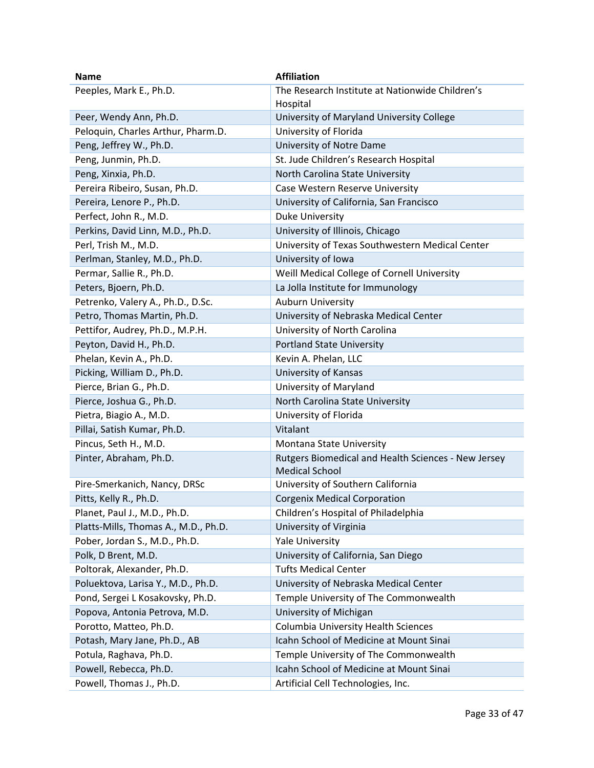| Name                                 | <b>Affiliation</b>                                  |
|--------------------------------------|-----------------------------------------------------|
| Peeples, Mark E., Ph.D.              | The Research Institute at Nationwide Children's     |
|                                      | Hospital                                            |
| Peer, Wendy Ann, Ph.D.               | University of Maryland University College           |
| Peloquin, Charles Arthur, Pharm.D.   | University of Florida                               |
| Peng, Jeffrey W., Ph.D.              | University of Notre Dame                            |
| Peng, Junmin, Ph.D.                  | St. Jude Children's Research Hospital               |
| Peng, Xinxia, Ph.D.                  | North Carolina State University                     |
| Pereira Ribeiro, Susan, Ph.D.        | Case Western Reserve University                     |
| Pereira, Lenore P., Ph.D.            | University of California, San Francisco             |
| Perfect, John R., M.D.               | <b>Duke University</b>                              |
| Perkins, David Linn, M.D., Ph.D.     | University of Illinois, Chicago                     |
| Perl, Trish M., M.D.                 | University of Texas Southwestern Medical Center     |
| Perlman, Stanley, M.D., Ph.D.        | University of Iowa                                  |
| Permar, Sallie R., Ph.D.             | Weill Medical College of Cornell University         |
| Peters, Bjoern, Ph.D.                | La Jolla Institute for Immunology                   |
| Petrenko, Valery A., Ph.D., D.Sc.    | <b>Auburn University</b>                            |
| Petro, Thomas Martin, Ph.D.          | University of Nebraska Medical Center               |
| Pettifor, Audrey, Ph.D., M.P.H.      | University of North Carolina                        |
| Peyton, David H., Ph.D.              | <b>Portland State University</b>                    |
| Phelan, Kevin A., Ph.D.              | Kevin A. Phelan, LLC                                |
| Picking, William D., Ph.D.           | University of Kansas                                |
| Pierce, Brian G., Ph.D.              | University of Maryland                              |
| Pierce, Joshua G., Ph.D.             | North Carolina State University                     |
| Pietra, Biagio A., M.D.              | University of Florida                               |
| Pillai, Satish Kumar, Ph.D.          | Vitalant                                            |
| Pincus, Seth H., M.D.                | Montana State University                            |
| Pinter, Abraham, Ph.D.               | Rutgers Biomedical and Health Sciences - New Jersey |
|                                      | <b>Medical School</b>                               |
| Pire-Smerkanich, Nancy, DRSc         | University of Southern California                   |
| Pitts, Kelly R., Ph.D.               | <b>Corgenix Medical Corporation</b>                 |
| Planet, Paul J., M.D., Ph.D.         | Children's Hospital of Philadelphia                 |
| Platts-Mills, Thomas A., M.D., Ph.D. | University of Virginia                              |
| Pober, Jordan S., M.D., Ph.D.        | <b>Yale University</b>                              |
| Polk, D Brent, M.D.                  | University of California, San Diego                 |
| Poltorak, Alexander, Ph.D.           | <b>Tufts Medical Center</b>                         |
| Poluektova, Larisa Y., M.D., Ph.D.   | University of Nebraska Medical Center               |
| Pond, Sergei L Kosakovsky, Ph.D.     | Temple University of The Commonwealth               |
| Popova, Antonia Petrova, M.D.        | University of Michigan                              |
| Porotto, Matteo, Ph.D.               | Columbia University Health Sciences                 |
| Potash, Mary Jane, Ph.D., AB         | Icahn School of Medicine at Mount Sinai             |
| Potula, Raghava, Ph.D.               | Temple University of The Commonwealth               |
| Powell, Rebecca, Ph.D.               | Icahn School of Medicine at Mount Sinai             |
| Powell, Thomas J., Ph.D.             | Artificial Cell Technologies, Inc.                  |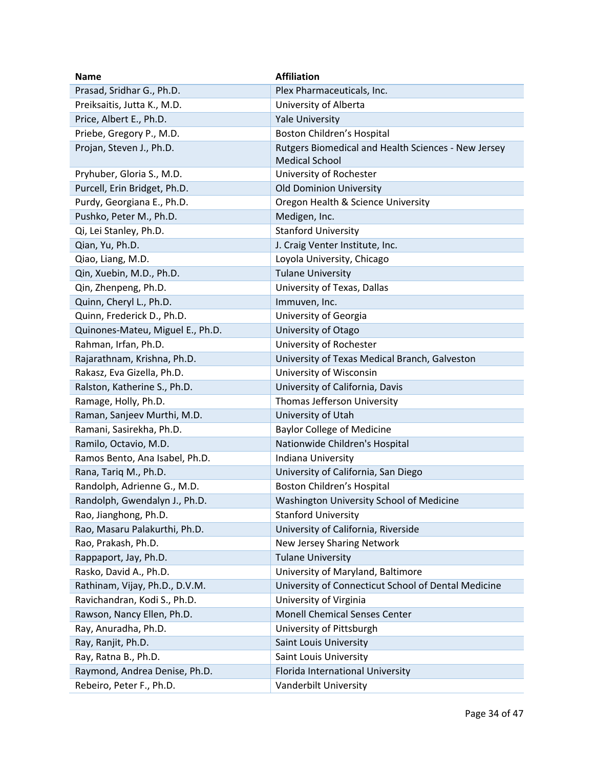| <b>Name</b>                      | <b>Affiliation</b>                                  |
|----------------------------------|-----------------------------------------------------|
| Prasad, Sridhar G., Ph.D.        | Plex Pharmaceuticals, Inc.                          |
| Preiksaitis, Jutta K., M.D.      | University of Alberta                               |
| Price, Albert E., Ph.D.          | <b>Yale University</b>                              |
| Priebe, Gregory P., M.D.         | Boston Children's Hospital                          |
| Projan, Steven J., Ph.D.         | Rutgers Biomedical and Health Sciences - New Jersey |
|                                  | <b>Medical School</b>                               |
| Pryhuber, Gloria S., M.D.        | University of Rochester                             |
| Purcell, Erin Bridget, Ph.D.     | <b>Old Dominion University</b>                      |
| Purdy, Georgiana E., Ph.D.       | Oregon Health & Science University                  |
| Pushko, Peter M., Ph.D.          | Medigen, Inc.                                       |
| Qi, Lei Stanley, Ph.D.           | <b>Stanford University</b>                          |
| Qian, Yu, Ph.D.                  | J. Craig Venter Institute, Inc.                     |
| Qiao, Liang, M.D.                | Loyola University, Chicago                          |
| Qin, Xuebin, M.D., Ph.D.         | <b>Tulane University</b>                            |
| Qin, Zhenpeng, Ph.D.             | University of Texas, Dallas                         |
| Quinn, Cheryl L., Ph.D.          | Immuven, Inc.                                       |
| Quinn, Frederick D., Ph.D.       | University of Georgia                               |
| Quinones-Mateu, Miguel E., Ph.D. | University of Otago                                 |
| Rahman, Irfan, Ph.D.             | University of Rochester                             |
| Rajarathnam, Krishna, Ph.D.      | University of Texas Medical Branch, Galveston       |
| Rakasz, Eva Gizella, Ph.D.       | University of Wisconsin                             |
| Ralston, Katherine S., Ph.D.     | University of California, Davis                     |
| Ramage, Holly, Ph.D.             | Thomas Jefferson University                         |
| Raman, Sanjeev Murthi, M.D.      | University of Utah                                  |
| Ramani, Sasirekha, Ph.D.         | <b>Baylor College of Medicine</b>                   |
| Ramilo, Octavio, M.D.            | Nationwide Children's Hospital                      |
| Ramos Bento, Ana Isabel, Ph.D.   | Indiana University                                  |
| Rana, Tariq M., Ph.D.            | University of California, San Diego                 |
| Randolph, Adrienne G., M.D.      | <b>Boston Children's Hospital</b>                   |
| Randolph, Gwendalyn J., Ph.D.    | Washington University School of Medicine            |
| Rao, Jianghong, Ph.D.            | <b>Stanford University</b>                          |
| Rao, Masaru Palakurthi, Ph.D.    | University of California, Riverside                 |
| Rao, Prakash, Ph.D.              | New Jersey Sharing Network                          |
| Rappaport, Jay, Ph.D.            | <b>Tulane University</b>                            |
| Rasko, David A., Ph.D.           | University of Maryland, Baltimore                   |
| Rathinam, Vijay, Ph.D., D.V.M.   | University of Connecticut School of Dental Medicine |
| Ravichandran, Kodi S., Ph.D.     | University of Virginia                              |
| Rawson, Nancy Ellen, Ph.D.       | <b>Monell Chemical Senses Center</b>                |
| Ray, Anuradha, Ph.D.             | University of Pittsburgh                            |
| Ray, Ranjit, Ph.D.               | Saint Louis University                              |
| Ray, Ratna B., Ph.D.             | Saint Louis University                              |
| Raymond, Andrea Denise, Ph.D.    | Florida International University                    |
| Rebeiro, Peter F., Ph.D.         | Vanderbilt University                               |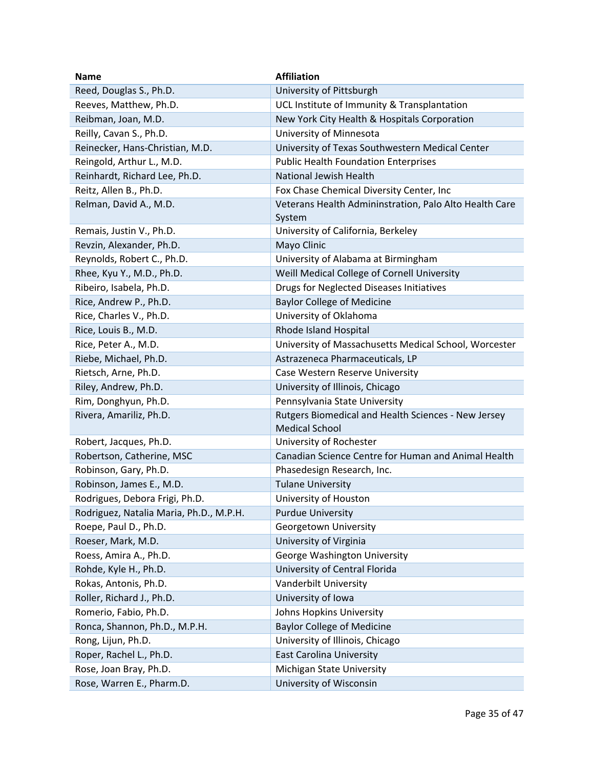| <b>Name</b>                             | <b>Affiliation</b>                                                           |
|-----------------------------------------|------------------------------------------------------------------------------|
| Reed, Douglas S., Ph.D.                 | University of Pittsburgh                                                     |
| Reeves, Matthew, Ph.D.                  | UCL Institute of Immunity & Transplantation                                  |
| Reibman, Joan, M.D.                     | New York City Health & Hospitals Corporation                                 |
| Reilly, Cavan S., Ph.D.                 | University of Minnesota                                                      |
| Reinecker, Hans-Christian, M.D.         | University of Texas Southwestern Medical Center                              |
| Reingold, Arthur L., M.D.               | <b>Public Health Foundation Enterprises</b>                                  |
| Reinhardt, Richard Lee, Ph.D.           | <b>National Jewish Health</b>                                                |
| Reitz, Allen B., Ph.D.                  | Fox Chase Chemical Diversity Center, Inc                                     |
| Relman, David A., M.D.                  | Veterans Health Admininstration, Palo Alto Health Care<br>System             |
| Remais, Justin V., Ph.D.                | University of California, Berkeley                                           |
| Revzin, Alexander, Ph.D.                | Mayo Clinic                                                                  |
| Reynolds, Robert C., Ph.D.              | University of Alabama at Birmingham                                          |
| Rhee, Kyu Y., M.D., Ph.D.               | Weill Medical College of Cornell University                                  |
| Ribeiro, Isabela, Ph.D.                 | Drugs for Neglected Diseases Initiatives                                     |
| Rice, Andrew P., Ph.D.                  | <b>Baylor College of Medicine</b>                                            |
| Rice, Charles V., Ph.D.                 | University of Oklahoma                                                       |
| Rice, Louis B., M.D.                    | Rhode Island Hospital                                                        |
| Rice, Peter A., M.D.                    | University of Massachusetts Medical School, Worcester                        |
| Riebe, Michael, Ph.D.                   | Astrazeneca Pharmaceuticals, LP                                              |
| Rietsch, Arne, Ph.D.                    | Case Western Reserve University                                              |
| Riley, Andrew, Ph.D.                    | University of Illinois, Chicago                                              |
| Rim, Donghyun, Ph.D.                    | Pennsylvania State University                                                |
| Rivera, Amariliz, Ph.D.                 | Rutgers Biomedical and Health Sciences - New Jersey<br><b>Medical School</b> |
| Robert, Jacques, Ph.D.                  | University of Rochester                                                      |
| Robertson, Catherine, MSC               | Canadian Science Centre for Human and Animal Health                          |
| Robinson, Gary, Ph.D.                   | Phasedesign Research, Inc.                                                   |
| Robinson, James E., M.D.                | <b>Tulane University</b>                                                     |
| Rodrigues, Debora Frigi, Ph.D.          | University of Houston                                                        |
| Rodriguez, Natalia Maria, Ph.D., M.P.H. | <b>Purdue University</b>                                                     |
| Roepe, Paul D., Ph.D.                   | Georgetown University                                                        |
| Roeser, Mark, M.D.                      | University of Virginia                                                       |
| Roess, Amira A., Ph.D.                  | George Washington University                                                 |
| Rohde, Kyle H., Ph.D.                   | University of Central Florida                                                |
| Rokas, Antonis, Ph.D.                   | Vanderbilt University                                                        |
| Roller, Richard J., Ph.D.               | University of Iowa                                                           |
| Romerio, Fabio, Ph.D.                   | Johns Hopkins University                                                     |
| Ronca, Shannon, Ph.D., M.P.H.           | <b>Baylor College of Medicine</b>                                            |
| Rong, Lijun, Ph.D.                      | University of Illinois, Chicago                                              |
| Roper, Rachel L., Ph.D.                 | <b>East Carolina University</b>                                              |
| Rose, Joan Bray, Ph.D.                  | Michigan State University                                                    |
| Rose, Warren E., Pharm.D.               | University of Wisconsin                                                      |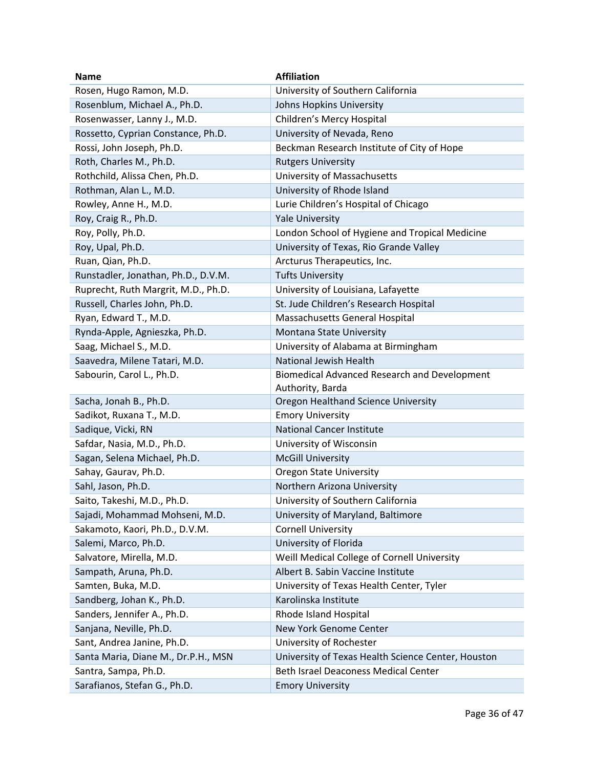| <b>Name</b>                         | <b>Affiliation</b>                                 |
|-------------------------------------|----------------------------------------------------|
| Rosen, Hugo Ramon, M.D.             | University of Southern California                  |
| Rosenblum, Michael A., Ph.D.        | Johns Hopkins University                           |
| Rosenwasser, Lanny J., M.D.         | Children's Mercy Hospital                          |
| Rossetto, Cyprian Constance, Ph.D.  | University of Nevada, Reno                         |
| Rossi, John Joseph, Ph.D.           | Beckman Research Institute of City of Hope         |
| Roth, Charles M., Ph.D.             | <b>Rutgers University</b>                          |
| Rothchild, Alissa Chen, Ph.D.       | University of Massachusetts                        |
| Rothman, Alan L., M.D.              | University of Rhode Island                         |
| Rowley, Anne H., M.D.               | Lurie Children's Hospital of Chicago               |
| Roy, Craig R., Ph.D.                | <b>Yale University</b>                             |
| Roy, Polly, Ph.D.                   | London School of Hygiene and Tropical Medicine     |
| Roy, Upal, Ph.D.                    | University of Texas, Rio Grande Valley             |
| Ruan, Qian, Ph.D.                   | Arcturus Therapeutics, Inc.                        |
| Runstadler, Jonathan, Ph.D., D.V.M. | <b>Tufts University</b>                            |
| Ruprecht, Ruth Margrit, M.D., Ph.D. | University of Louisiana, Lafayette                 |
| Russell, Charles John, Ph.D.        | St. Jude Children's Research Hospital              |
| Ryan, Edward T., M.D.               | Massachusetts General Hospital                     |
| Rynda-Apple, Agnieszka, Ph.D.       | Montana State University                           |
| Saag, Michael S., M.D.              | University of Alabama at Birmingham                |
| Saavedra, Milene Tatari, M.D.       | National Jewish Health                             |
| Sabourin, Carol L., Ph.D.           | Biomedical Advanced Research and Development       |
|                                     | Authority, Barda                                   |
| Sacha, Jonah B., Ph.D.              | Oregon Healthand Science University                |
| Sadikot, Ruxana T., M.D.            | <b>Emory University</b>                            |
| Sadique, Vicki, RN                  | <b>National Cancer Institute</b>                   |
| Safdar, Nasia, M.D., Ph.D.          | University of Wisconsin                            |
| Sagan, Selena Michael, Ph.D.        | <b>McGill University</b>                           |
| Sahay, Gaurav, Ph.D.                | <b>Oregon State University</b>                     |
| Sahl, Jason, Ph.D.                  | Northern Arizona University                        |
| Saito, Takeshi, M.D., Ph.D.         | University of Southern California                  |
| Sajadi, Mohammad Mohseni, M.D.      | University of Maryland, Baltimore                  |
| Sakamoto, Kaori, Ph.D., D.V.M.      | <b>Cornell University</b>                          |
| Salemi, Marco, Ph.D.                | University of Florida                              |
| Salvatore, Mirella, M.D.            | Weill Medical College of Cornell University        |
| Sampath, Aruna, Ph.D.               | Albert B. Sabin Vaccine Institute                  |
| Samten, Buka, M.D.                  | University of Texas Health Center, Tyler           |
| Sandberg, Johan K., Ph.D.           | Karolinska Institute                               |
| Sanders, Jennifer A., Ph.D.         | Rhode Island Hospital                              |
| Sanjana, Neville, Ph.D.             | New York Genome Center                             |
| Sant, Andrea Janine, Ph.D.          | University of Rochester                            |
| Santa Maria, Diane M., Dr.P.H., MSN | University of Texas Health Science Center, Houston |
| Santra, Sampa, Ph.D.                | Beth Israel Deaconess Medical Center               |
| Sarafianos, Stefan G., Ph.D.        | <b>Emory University</b>                            |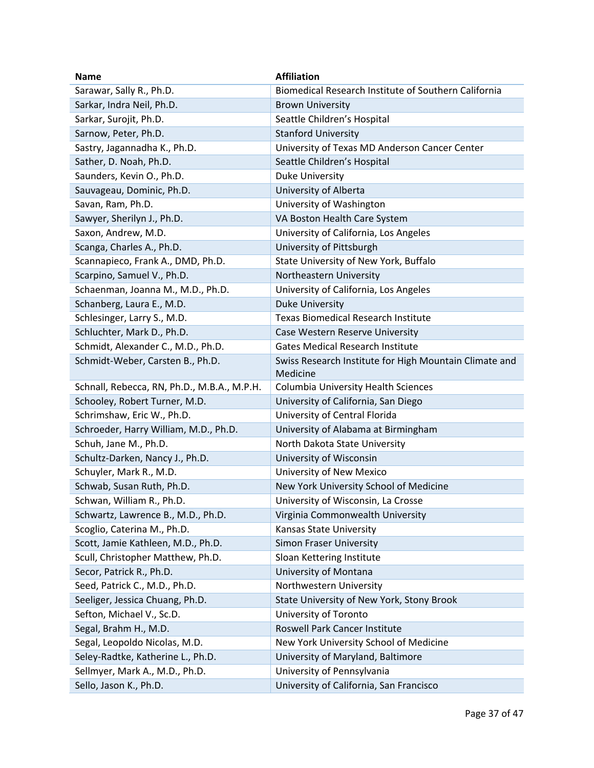| <b>Name</b>                                 | <b>Affiliation</b>                                     |
|---------------------------------------------|--------------------------------------------------------|
| Sarawar, Sally R., Ph.D.                    | Biomedical Research Institute of Southern California   |
| Sarkar, Indra Neil, Ph.D.                   | <b>Brown University</b>                                |
| Sarkar, Surojit, Ph.D.                      | Seattle Children's Hospital                            |
| Sarnow, Peter, Ph.D.                        | <b>Stanford University</b>                             |
| Sastry, Jagannadha K., Ph.D.                | University of Texas MD Anderson Cancer Center          |
| Sather, D. Noah, Ph.D.                      | Seattle Children's Hospital                            |
| Saunders, Kevin O., Ph.D.                   | Duke University                                        |
| Sauvageau, Dominic, Ph.D.                   | University of Alberta                                  |
| Savan, Ram, Ph.D.                           | University of Washington                               |
| Sawyer, Sherilyn J., Ph.D.                  | VA Boston Health Care System                           |
| Saxon, Andrew, M.D.                         | University of California, Los Angeles                  |
| Scanga, Charles A., Ph.D.                   | University of Pittsburgh                               |
| Scannapieco, Frank A., DMD, Ph.D.           | State University of New York, Buffalo                  |
| Scarpino, Samuel V., Ph.D.                  | Northeastern University                                |
| Schaenman, Joanna M., M.D., Ph.D.           | University of California, Los Angeles                  |
| Schanberg, Laura E., M.D.                   | <b>Duke University</b>                                 |
| Schlesinger, Larry S., M.D.                 | <b>Texas Biomedical Research Institute</b>             |
| Schluchter, Mark D., Ph.D.                  | Case Western Reserve University                        |
| Schmidt, Alexander C., M.D., Ph.D.          | <b>Gates Medical Research Institute</b>                |
| Schmidt-Weber, Carsten B., Ph.D.            | Swiss Research Institute for High Mountain Climate and |
|                                             | Medicine                                               |
| Schnall, Rebecca, RN, Ph.D., M.B.A., M.P.H. | <b>Columbia University Health Sciences</b>             |
| Schooley, Robert Turner, M.D.               | University of California, San Diego                    |
| Schrimshaw, Eric W., Ph.D.                  | University of Central Florida                          |
| Schroeder, Harry William, M.D., Ph.D.       | University of Alabama at Birmingham                    |
| Schuh, Jane M., Ph.D.                       | North Dakota State University                          |
| Schultz-Darken, Nancy J., Ph.D.             | University of Wisconsin                                |
| Schuyler, Mark R., M.D.                     | University of New Mexico                               |
| Schwab, Susan Ruth, Ph.D.                   | New York University School of Medicine                 |
| Schwan, William R., Ph.D.                   | University of Wisconsin, La Crosse                     |
| Schwartz, Lawrence B., M.D., Ph.D.          | Virginia Commonwealth University                       |
| Scoglio, Caterina M., Ph.D.                 | <b>Kansas State University</b>                         |
| Scott, Jamie Kathleen, M.D., Ph.D.          | <b>Simon Fraser University</b>                         |
| Scull, Christopher Matthew, Ph.D.           | Sloan Kettering Institute                              |
| Secor, Patrick R., Ph.D.                    | University of Montana                                  |
| Seed, Patrick C., M.D., Ph.D.               | Northwestern University                                |
| Seeliger, Jessica Chuang, Ph.D.             | State University of New York, Stony Brook              |
| Sefton, Michael V., Sc.D.                   | University of Toronto                                  |
| Segal, Brahm H., M.D.                       | Roswell Park Cancer Institute                          |
| Segal, Leopoldo Nicolas, M.D.               | New York University School of Medicine                 |
| Seley-Radtke, Katherine L., Ph.D.           | University of Maryland, Baltimore                      |
| Sellmyer, Mark A., M.D., Ph.D.              | University of Pennsylvania                             |
| Sello, Jason K., Ph.D.                      | University of California, San Francisco                |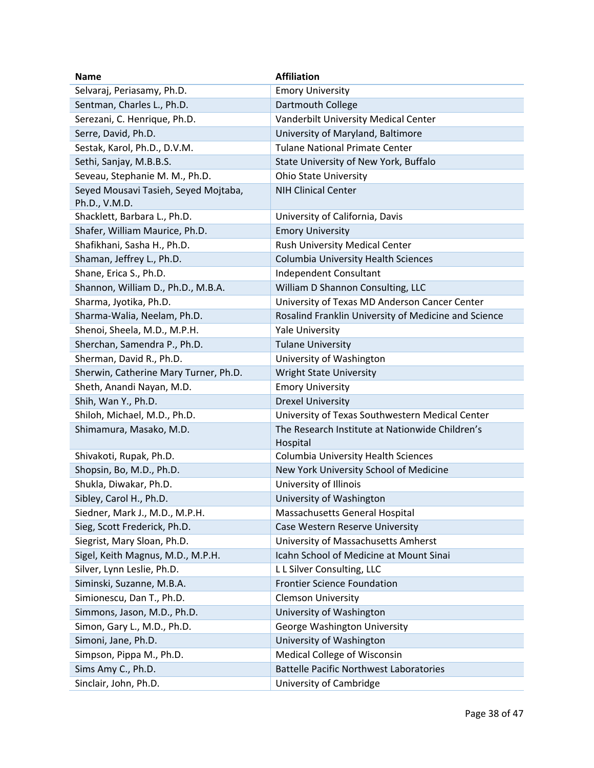| <b>Name</b>                           | <b>Affiliation</b>                                   |
|---------------------------------------|------------------------------------------------------|
| Selvaraj, Periasamy, Ph.D.            | <b>Emory University</b>                              |
| Sentman, Charles L., Ph.D.            | Dartmouth College                                    |
| Serezani, C. Henrique, Ph.D.          | Vanderbilt University Medical Center                 |
| Serre, David, Ph.D.                   | University of Maryland, Baltimore                    |
| Sestak, Karol, Ph.D., D.V.M.          | <b>Tulane National Primate Center</b>                |
| Sethi, Sanjay, M.B.B.S.               | State University of New York, Buffalo                |
| Seveau, Stephanie M. M., Ph.D.        | <b>Ohio State University</b>                         |
| Seyed Mousavi Tasieh, Seyed Mojtaba,  | <b>NIH Clinical Center</b>                           |
| Ph.D., V.M.D.                         |                                                      |
| Shacklett, Barbara L., Ph.D.          | University of California, Davis                      |
| Shafer, William Maurice, Ph.D.        | <b>Emory University</b>                              |
| Shafikhani, Sasha H., Ph.D.           | Rush University Medical Center                       |
| Shaman, Jeffrey L., Ph.D.             | Columbia University Health Sciences                  |
| Shane, Erica S., Ph.D.                | Independent Consultant                               |
| Shannon, William D., Ph.D., M.B.A.    | William D Shannon Consulting, LLC                    |
| Sharma, Jyotika, Ph.D.                | University of Texas MD Anderson Cancer Center        |
| Sharma-Walia, Neelam, Ph.D.           | Rosalind Franklin University of Medicine and Science |
| Shenoi, Sheela, M.D., M.P.H.          | <b>Yale University</b>                               |
| Sherchan, Samendra P., Ph.D.          | <b>Tulane University</b>                             |
| Sherman, David R., Ph.D.              | University of Washington                             |
| Sherwin, Catherine Mary Turner, Ph.D. | <b>Wright State University</b>                       |
| Sheth, Anandi Nayan, M.D.             | <b>Emory University</b>                              |
| Shih, Wan Y., Ph.D.                   | <b>Drexel University</b>                             |
| Shiloh, Michael, M.D., Ph.D.          | University of Texas Southwestern Medical Center      |
| Shimamura, Masako, M.D.               | The Research Institute at Nationwide Children's      |
| Shivakoti, Rupak, Ph.D.               | Hospital<br>Columbia University Health Sciences      |
| Shopsin, Bo, M.D., Ph.D.              | New York University School of Medicine               |
| Shukla, Diwakar, Ph.D.                | University of Illinois                               |
| Sibley, Carol H., Ph.D.               | University of Washington                             |
| Siedner, Mark J., M.D., M.P.H.        | Massachusetts General Hospital                       |
| Sieg, Scott Frederick, Ph.D.          | Case Western Reserve University                      |
| Siegrist, Mary Sloan, Ph.D.           | University of Massachusetts Amherst                  |
| Sigel, Keith Magnus, M.D., M.P.H.     | Icahn School of Medicine at Mount Sinai              |
| Silver, Lynn Leslie, Ph.D.            | L L Silver Consulting, LLC                           |
|                                       | <b>Frontier Science Foundation</b>                   |
| Siminski, Suzanne, M.B.A.             |                                                      |
| Simionescu, Dan T., Ph.D.             | <b>Clemson University</b>                            |
| Simmons, Jason, M.D., Ph.D.           | University of Washington                             |
| Simon, Gary L., M.D., Ph.D.           | George Washington University                         |
| Simoni, Jane, Ph.D.                   | University of Washington                             |
| Simpson, Pippa M., Ph.D.              | Medical College of Wisconsin                         |
| Sims Amy C., Ph.D.                    | <b>Battelle Pacific Northwest Laboratories</b>       |
| Sinclair, John, Ph.D.                 | University of Cambridge                              |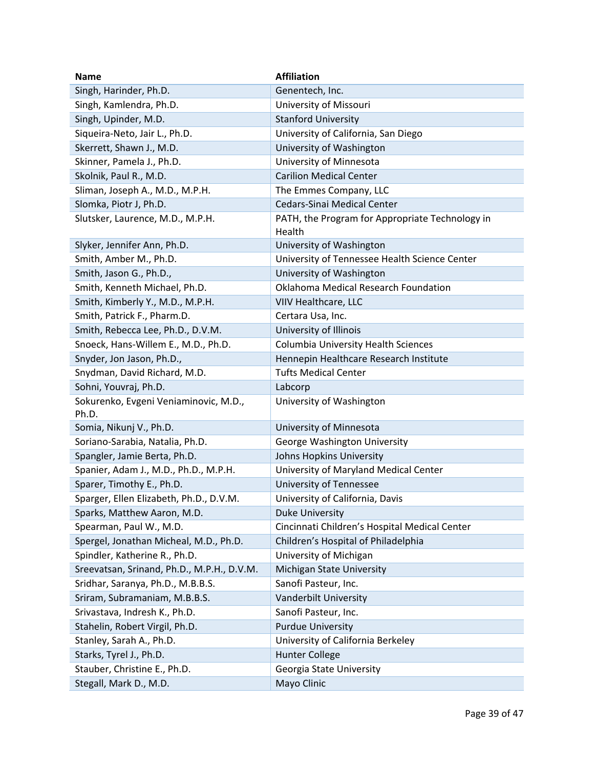| <b>Name</b>                                | <b>Affiliation</b>                                        |
|--------------------------------------------|-----------------------------------------------------------|
| Singh, Harinder, Ph.D.                     | Genentech, Inc.                                           |
| Singh, Kamlendra, Ph.D.                    | University of Missouri                                    |
| Singh, Upinder, M.D.                       | <b>Stanford University</b>                                |
| Siqueira-Neto, Jair L., Ph.D.              | University of California, San Diego                       |
| Skerrett, Shawn J., M.D.                   | University of Washington                                  |
| Skinner, Pamela J., Ph.D.                  | University of Minnesota                                   |
| Skolnik, Paul R., M.D.                     | <b>Carilion Medical Center</b>                            |
| Sliman, Joseph A., M.D., M.P.H.            | The Emmes Company, LLC                                    |
| Slomka, Piotr J, Ph.D.                     | Cedars-Sinai Medical Center                               |
| Slutsker, Laurence, M.D., M.P.H.           | PATH, the Program for Appropriate Technology in<br>Health |
| Slyker, Jennifer Ann, Ph.D.                | University of Washington                                  |
| Smith, Amber M., Ph.D.                     | University of Tennessee Health Science Center             |
| Smith, Jason G., Ph.D.,                    | University of Washington                                  |
| Smith, Kenneth Michael, Ph.D.              | Oklahoma Medical Research Foundation                      |
| Smith, Kimberly Y., M.D., M.P.H.           | VIIV Healthcare, LLC                                      |
| Smith, Patrick F., Pharm.D.                | Certara Usa, Inc.                                         |
| Smith, Rebecca Lee, Ph.D., D.V.M.          | University of Illinois                                    |
| Snoeck, Hans-Willem E., M.D., Ph.D.        | <b>Columbia University Health Sciences</b>                |
| Snyder, Jon Jason, Ph.D.,                  | Hennepin Healthcare Research Institute                    |
| Snydman, David Richard, M.D.               | <b>Tufts Medical Center</b>                               |
| Sohni, Youvraj, Ph.D.                      | Labcorp                                                   |
| Sokurenko, Evgeni Veniaminovic, M.D.,      | University of Washington                                  |
| Ph.D.                                      |                                                           |
| Somia, Nikunj V., Ph.D.                    | University of Minnesota                                   |
| Soriano-Sarabia, Natalia, Ph.D.            | George Washington University                              |
| Spangler, Jamie Berta, Ph.D.               | Johns Hopkins University                                  |
| Spanier, Adam J., M.D., Ph.D., M.P.H.      | University of Maryland Medical Center                     |
| Sparer, Timothy E., Ph.D.                  | University of Tennessee                                   |
| Sparger, Ellen Elizabeth, Ph.D., D.V.M.    | University of California, Davis                           |
| Sparks, Matthew Aaron, M.D.                | <b>Duke University</b>                                    |
| Spearman, Paul W., M.D.                    | Cincinnati Children's Hospital Medical Center             |
| Spergel, Jonathan Micheal, M.D., Ph.D.     | Children's Hospital of Philadelphia                       |
| Spindler, Katherine R., Ph.D.              | University of Michigan                                    |
| Sreevatsan, Srinand, Ph.D., M.P.H., D.V.M. | Michigan State University                                 |
| Sridhar, Saranya, Ph.D., M.B.B.S.          | Sanofi Pasteur, Inc.                                      |
| Sriram, Subramaniam, M.B.B.S.              | Vanderbilt University                                     |
| Srivastava, Indresh K., Ph.D.              | Sanofi Pasteur, Inc.                                      |
| Stahelin, Robert Virgil, Ph.D.             | <b>Purdue University</b>                                  |
| Stanley, Sarah A., Ph.D.                   | University of California Berkeley                         |
| Starks, Tyrel J., Ph.D.                    | <b>Hunter College</b>                                     |
| Stauber, Christine E., Ph.D.               | Georgia State University                                  |
| Stegall, Mark D., M.D.                     | Mayo Clinic                                               |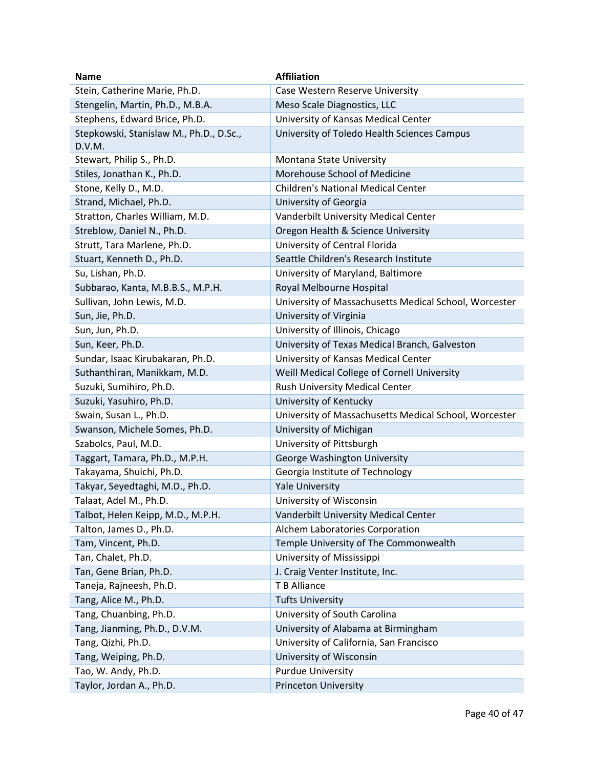| <b>Name</b>                             | <b>Affiliation</b>                                       |
|-----------------------------------------|----------------------------------------------------------|
| Stein, Catherine Marie, Ph.D.           | Case Western Reserve University                          |
| Stengelin, Martin, Ph.D., M.B.A.        | Meso Scale Diagnostics, LLC                              |
| Stephens, Edward Brice, Ph.D.           | University of Kansas Medical Center                      |
| Stepkowski, Stanislaw M., Ph.D., D.Sc., | University of Toledo Health Sciences Campus              |
| D.V.M.                                  |                                                          |
| Stewart, Philip S., Ph.D.               | Montana State University<br>Morehouse School of Medicine |
| Stiles, Jonathan K., Ph.D.              |                                                          |
| Stone, Kelly D., M.D.                   | <b>Children's National Medical Center</b>                |
| Strand, Michael, Ph.D.                  | University of Georgia                                    |
| Stratton, Charles William, M.D.         | Vanderbilt University Medical Center                     |
| Streblow, Daniel N., Ph.D.              | Oregon Health & Science University                       |
| Strutt, Tara Marlene, Ph.D.             | University of Central Florida                            |
| Stuart, Kenneth D., Ph.D.               | Seattle Children's Research Institute                    |
| Su, Lishan, Ph.D.                       | University of Maryland, Baltimore                        |
| Subbarao, Kanta, M.B.B.S., M.P.H.       | Royal Melbourne Hospital                                 |
| Sullivan, John Lewis, M.D.              | University of Massachusetts Medical School, Worcester    |
| Sun, Jie, Ph.D.                         | University of Virginia                                   |
| Sun, Jun, Ph.D.                         | University of Illinois, Chicago                          |
| Sun, Keer, Ph.D.                        | University of Texas Medical Branch, Galveston            |
| Sundar, Isaac Kirubakaran, Ph.D.        | University of Kansas Medical Center                      |
| Suthanthiran, Manikkam, M.D.            | Weill Medical College of Cornell University              |
| Suzuki, Sumihiro, Ph.D.                 | Rush University Medical Center                           |
| Suzuki, Yasuhiro, Ph.D.                 | University of Kentucky                                   |
| Swain, Susan L., Ph.D.                  | University of Massachusetts Medical School, Worcester    |
| Swanson, Michele Somes, Ph.D.           | University of Michigan                                   |
| Szabolcs, Paul, M.D.                    | University of Pittsburgh                                 |
| Taggart, Tamara, Ph.D., M.P.H.          | George Washington University                             |
| Takayama, Shuichi, Ph.D.                | Georgia Institute of Technology                          |
| Takyar, Seyedtaghi, M.D., Ph.D.         | <b>Yale University</b>                                   |
| Talaat, Adel M., Ph.D.                  | University of Wisconsin                                  |
| Talbot, Helen Keipp, M.D., M.P.H.       | Vanderbilt University Medical Center                     |
| Talton, James D., Ph.D.                 | Alchem Laboratories Corporation                          |
| Tam, Vincent, Ph.D.                     | Temple University of The Commonwealth                    |
| Tan, Chalet, Ph.D.                      | University of Mississippi                                |
| Tan, Gene Brian, Ph.D.                  | J. Craig Venter Institute, Inc.                          |
| Taneja, Rajneesh, Ph.D.                 | T B Alliance                                             |
| Tang, Alice M., Ph.D.                   | <b>Tufts University</b>                                  |
| Tang, Chuanbing, Ph.D.                  | University of South Carolina                             |
| Tang, Jianming, Ph.D., D.V.M.           | University of Alabama at Birmingham                      |
| Tang, Qizhi, Ph.D.                      | University of California, San Francisco                  |
| Tang, Weiping, Ph.D.                    | University of Wisconsin                                  |
| Tao, W. Andy, Ph.D.                     | <b>Purdue University</b>                                 |
| Taylor, Jordan A., Ph.D.                | <b>Princeton University</b>                              |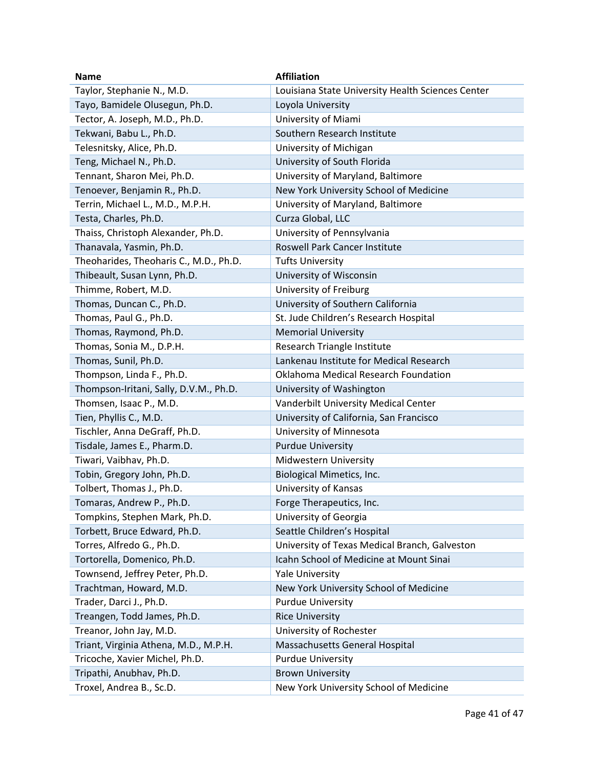| <b>Name</b>                            | <b>Affiliation</b>                                |
|----------------------------------------|---------------------------------------------------|
| Taylor, Stephanie N., M.D.             | Louisiana State University Health Sciences Center |
| Tayo, Bamidele Olusegun, Ph.D.         | Loyola University                                 |
| Tector, A. Joseph, M.D., Ph.D.         | University of Miami                               |
| Tekwani, Babu L., Ph.D.                | Southern Research Institute                       |
| Telesnitsky, Alice, Ph.D.              | University of Michigan                            |
| Teng, Michael N., Ph.D.                | University of South Florida                       |
| Tennant, Sharon Mei, Ph.D.             | University of Maryland, Baltimore                 |
| Tenoever, Benjamin R., Ph.D.           | New York University School of Medicine            |
| Terrin, Michael L., M.D., M.P.H.       | University of Maryland, Baltimore                 |
| Testa, Charles, Ph.D.                  | Curza Global, LLC                                 |
| Thaiss, Christoph Alexander, Ph.D.     | University of Pennsylvania                        |
| Thanavala, Yasmin, Ph.D.               | Roswell Park Cancer Institute                     |
| Theoharides, Theoharis C., M.D., Ph.D. | <b>Tufts University</b>                           |
| Thibeault, Susan Lynn, Ph.D.           | University of Wisconsin                           |
| Thimme, Robert, M.D.                   | University of Freiburg                            |
| Thomas, Duncan C., Ph.D.               | University of Southern California                 |
| Thomas, Paul G., Ph.D.                 | St. Jude Children's Research Hospital             |
| Thomas, Raymond, Ph.D.                 | <b>Memorial University</b>                        |
| Thomas, Sonia M., D.P.H.               | Research Triangle Institute                       |
| Thomas, Sunil, Ph.D.                   | Lankenau Institute for Medical Research           |
| Thompson, Linda F., Ph.D.              | Oklahoma Medical Research Foundation              |
| Thompson-Iritani, Sally, D.V.M., Ph.D. | University of Washington                          |
| Thomsen, Isaac P., M.D.                | Vanderbilt University Medical Center              |
| Tien, Phyllis C., M.D.                 | University of California, San Francisco           |
| Tischler, Anna DeGraff, Ph.D.          | University of Minnesota                           |
| Tisdale, James E., Pharm.D.            | <b>Purdue University</b>                          |
| Tiwari, Vaibhav, Ph.D.                 | Midwestern University                             |
| Tobin, Gregory John, Ph.D.             | Biological Mimetics, Inc.                         |
| Tolbert, Thomas J., Ph.D.              | University of Kansas                              |
| Tomaras, Andrew P., Ph.D.              | Forge Therapeutics, Inc.                          |
| Tompkins, Stephen Mark, Ph.D.          | University of Georgia                             |
| Torbett, Bruce Edward, Ph.D.           | Seattle Children's Hospital                       |
| Torres, Alfredo G., Ph.D.              | University of Texas Medical Branch, Galveston     |
| Tortorella, Domenico, Ph.D.            | Icahn School of Medicine at Mount Sinai           |
| Townsend, Jeffrey Peter, Ph.D.         | <b>Yale University</b>                            |
| Trachtman, Howard, M.D.                | New York University School of Medicine            |
| Trader, Darci J., Ph.D.                | <b>Purdue University</b>                          |
| Treangen, Todd James, Ph.D.            | <b>Rice University</b>                            |
| Treanor, John Jay, M.D.                | University of Rochester                           |
| Triant, Virginia Athena, M.D., M.P.H.  | Massachusetts General Hospital                    |
| Tricoche, Xavier Michel, Ph.D.         | <b>Purdue University</b>                          |
| Tripathi, Anubhav, Ph.D.               | <b>Brown University</b>                           |
| Troxel, Andrea B., Sc.D.               | New York University School of Medicine            |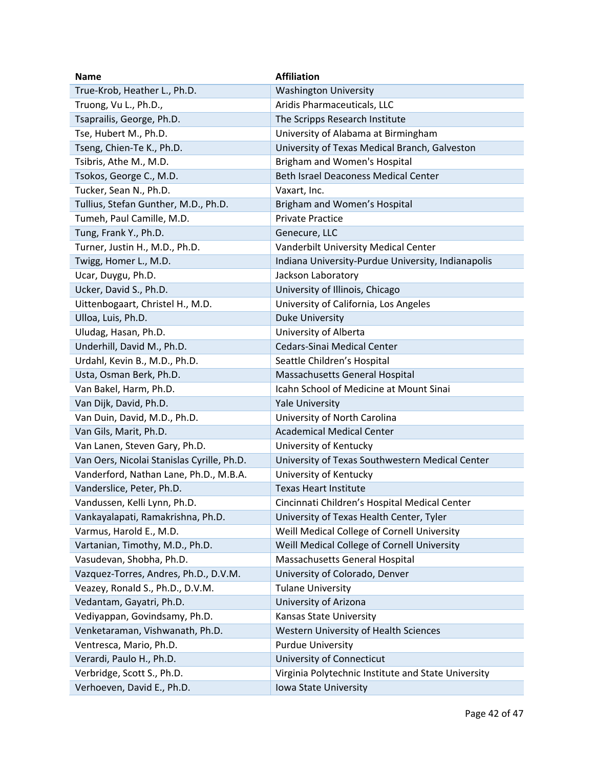| <b>Name</b>                                | <b>Affiliation</b>                                  |
|--------------------------------------------|-----------------------------------------------------|
| True-Krob, Heather L., Ph.D.               | <b>Washington University</b>                        |
| Truong, Vu L., Ph.D.,                      | Aridis Pharmaceuticals, LLC                         |
| Tsaprailis, George, Ph.D.                  | The Scripps Research Institute                      |
| Tse, Hubert M., Ph.D.                      | University of Alabama at Birmingham                 |
| Tseng, Chien-Te K., Ph.D.                  | University of Texas Medical Branch, Galveston       |
| Tsibris, Athe M., M.D.                     | Brigham and Women's Hospital                        |
| Tsokos, George C., M.D.                    | <b>Beth Israel Deaconess Medical Center</b>         |
| Tucker, Sean N., Ph.D.                     | Vaxart, Inc.                                        |
| Tullius, Stefan Gunther, M.D., Ph.D.       | Brigham and Women's Hospital                        |
| Tumeh, Paul Camille, M.D.                  | <b>Private Practice</b>                             |
| Tung, Frank Y., Ph.D.                      | Genecure, LLC                                       |
| Turner, Justin H., M.D., Ph.D.             | Vanderbilt University Medical Center                |
| Twigg, Homer L., M.D.                      | Indiana University-Purdue University, Indianapolis  |
| Ucar, Duygu, Ph.D.                         | Jackson Laboratory                                  |
| Ucker, David S., Ph.D.                     | University of Illinois, Chicago                     |
| Uittenbogaart, Christel H., M.D.           | University of California, Los Angeles               |
| Ulloa, Luis, Ph.D.                         | <b>Duke University</b>                              |
| Uludag, Hasan, Ph.D.                       | University of Alberta                               |
| Underhill, David M., Ph.D.                 | Cedars-Sinai Medical Center                         |
| Urdahl, Kevin B., M.D., Ph.D.              | Seattle Children's Hospital                         |
| Usta, Osman Berk, Ph.D.                    | Massachusetts General Hospital                      |
| Van Bakel, Harm, Ph.D.                     | Icahn School of Medicine at Mount Sinai             |
| Van Dijk, David, Ph.D.                     | <b>Yale University</b>                              |
| Van Duin, David, M.D., Ph.D.               | University of North Carolina                        |
| Van Gils, Marit, Ph.D.                     | <b>Academical Medical Center</b>                    |
| Van Lanen, Steven Gary, Ph.D.              | University of Kentucky                              |
| Van Oers, Nicolai Stanislas Cyrille, Ph.D. | University of Texas Southwestern Medical Center     |
| Vanderford, Nathan Lane, Ph.D., M.B.A.     | University of Kentucky                              |
| Vanderslice, Peter, Ph.D.                  | <b>Texas Heart Institute</b>                        |
| Vandussen, Kelli Lynn, Ph.D.               | Cincinnati Children's Hospital Medical Center       |
| Vankayalapati, Ramakrishna, Ph.D.          | University of Texas Health Center, Tyler            |
| Varmus, Harold E., M.D.                    | Weill Medical College of Cornell University         |
| Vartanian, Timothy, M.D., Ph.D.            | Weill Medical College of Cornell University         |
| Vasudevan, Shobha, Ph.D.                   | Massachusetts General Hospital                      |
| Vazquez-Torres, Andres, Ph.D., D.V.M.      | University of Colorado, Denver                      |
| Veazey, Ronald S., Ph.D., D.V.M.           | <b>Tulane University</b>                            |
| Vedantam, Gayatri, Ph.D.                   | University of Arizona                               |
| Vediyappan, Govindsamy, Ph.D.              | Kansas State University                             |
| Venketaraman, Vishwanath, Ph.D.            | Western University of Health Sciences               |
| Ventresca, Mario, Ph.D.                    | <b>Purdue University</b>                            |
| Verardi, Paulo H., Ph.D.                   | University of Connecticut                           |
| Verbridge, Scott S., Ph.D.                 | Virginia Polytechnic Institute and State University |
| Verhoeven, David E., Ph.D.                 | Iowa State University                               |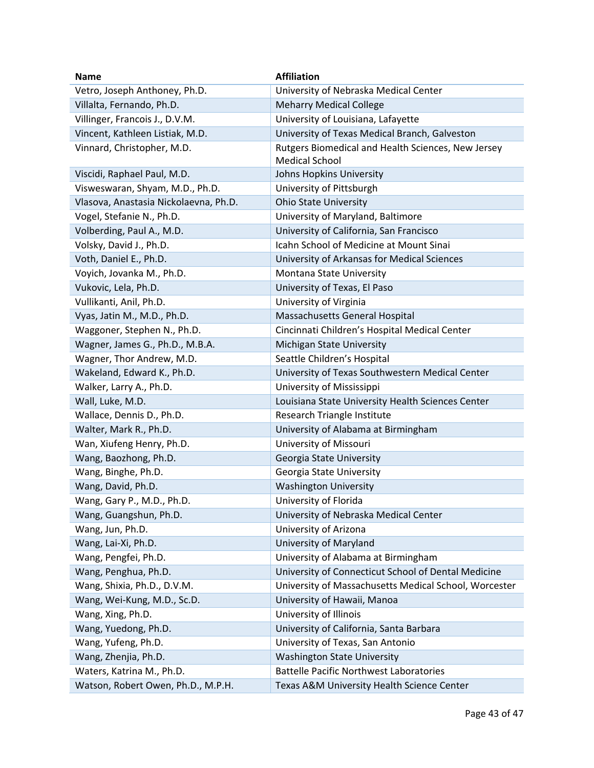| <b>Name</b>                           | <b>Affiliation</b>                                                          |
|---------------------------------------|-----------------------------------------------------------------------------|
| Vetro, Joseph Anthoney, Ph.D.         | University of Nebraska Medical Center                                       |
| Villalta, Fernando, Ph.D.             | <b>Meharry Medical College</b>                                              |
| Villinger, Francois J., D.V.M.        | University of Louisiana, Lafayette                                          |
| Vincent, Kathleen Listiak, M.D.       | University of Texas Medical Branch, Galveston                               |
| Vinnard, Christopher, M.D.            | Rutgers Biomedical and Health Sciences, New Jersey<br><b>Medical School</b> |
| Viscidi, Raphael Paul, M.D.           | Johns Hopkins University                                                    |
| Visweswaran, Shyam, M.D., Ph.D.       | University of Pittsburgh                                                    |
| Vlasova, Anastasia Nickolaevna, Ph.D. | <b>Ohio State University</b>                                                |
| Vogel, Stefanie N., Ph.D.             | University of Maryland, Baltimore                                           |
| Volberding, Paul A., M.D.             | University of California, San Francisco                                     |
| Volsky, David J., Ph.D.               | Icahn School of Medicine at Mount Sinai                                     |
| Voth, Daniel E., Ph.D.                | University of Arkansas for Medical Sciences                                 |
| Voyich, Jovanka M., Ph.D.             | Montana State University                                                    |
| Vukovic, Lela, Ph.D.                  | University of Texas, El Paso                                                |
| Vullikanti, Anil, Ph.D.               | University of Virginia                                                      |
| Vyas, Jatin M., M.D., Ph.D.           | Massachusetts General Hospital                                              |
| Waggoner, Stephen N., Ph.D.           | Cincinnati Children's Hospital Medical Center                               |
| Wagner, James G., Ph.D., M.B.A.       | Michigan State University                                                   |
| Wagner, Thor Andrew, M.D.             | Seattle Children's Hospital                                                 |
| Wakeland, Edward K., Ph.D.            | University of Texas Southwestern Medical Center                             |
| Walker, Larry A., Ph.D.               | University of Mississippi                                                   |
| Wall, Luke, M.D.                      | Louisiana State University Health Sciences Center                           |
| Wallace, Dennis D., Ph.D.             | Research Triangle Institute                                                 |
| Walter, Mark R., Ph.D.                | University of Alabama at Birmingham                                         |
| Wan, Xiufeng Henry, Ph.D.             | University of Missouri                                                      |
| Wang, Baozhong, Ph.D.                 | Georgia State University                                                    |
| Wang, Binghe, Ph.D.                   | Georgia State University                                                    |
| Wang, David, Ph.D.                    | <b>Washington University</b>                                                |
| Wang, Gary P., M.D., Ph.D.            | University of Florida                                                       |
| Wang, Guangshun, Ph.D.                | University of Nebraska Medical Center                                       |
| Wang, Jun, Ph.D.                      | University of Arizona                                                       |
| Wang, Lai-Xi, Ph.D.                   | University of Maryland                                                      |
| Wang, Pengfei, Ph.D.                  | University of Alabama at Birmingham                                         |
| Wang, Penghua, Ph.D.                  | University of Connecticut School of Dental Medicine                         |
| Wang, Shixia, Ph.D., D.V.M.           | University of Massachusetts Medical School, Worcester                       |
| Wang, Wei-Kung, M.D., Sc.D.           | University of Hawaii, Manoa                                                 |
| Wang, Xing, Ph.D.                     | University of Illinois                                                      |
| Wang, Yuedong, Ph.D.                  | University of California, Santa Barbara                                     |
| Wang, Yufeng, Ph.D.                   | University of Texas, San Antonio                                            |
| Wang, Zhenjia, Ph.D.                  | <b>Washington State University</b>                                          |
| Waters, Katrina M., Ph.D.             | <b>Battelle Pacific Northwest Laboratories</b>                              |
| Watson, Robert Owen, Ph.D., M.P.H.    | Texas A&M University Health Science Center                                  |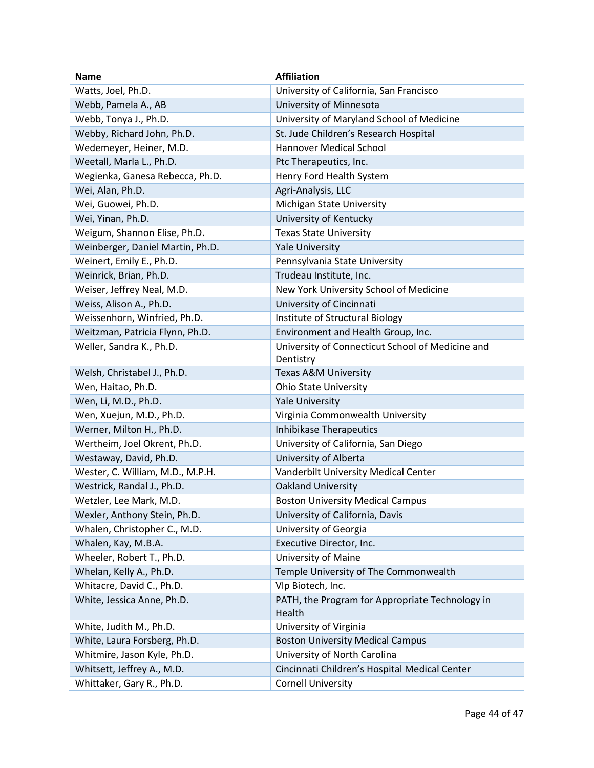| <b>Name</b>                      | <b>Affiliation</b>                                        |
|----------------------------------|-----------------------------------------------------------|
| Watts, Joel, Ph.D.               | University of California, San Francisco                   |
| Webb, Pamela A., AB              | University of Minnesota                                   |
| Webb, Tonya J., Ph.D.            | University of Maryland School of Medicine                 |
| Webby, Richard John, Ph.D.       | St. Jude Children's Research Hospital                     |
| Wedemeyer, Heiner, M.D.          | <b>Hannover Medical School</b>                            |
| Weetall, Marla L., Ph.D.         | Ptc Therapeutics, Inc.                                    |
| Wegienka, Ganesa Rebecca, Ph.D.  | Henry Ford Health System                                  |
| Wei, Alan, Ph.D.                 | Agri-Analysis, LLC                                        |
| Wei, Guowei, Ph.D.               | Michigan State University                                 |
| Wei, Yinan, Ph.D.                | University of Kentucky                                    |
| Weigum, Shannon Elise, Ph.D.     | <b>Texas State University</b>                             |
| Weinberger, Daniel Martin, Ph.D. | <b>Yale University</b>                                    |
| Weinert, Emily E., Ph.D.         | Pennsylvania State University                             |
| Weinrick, Brian, Ph.D.           | Trudeau Institute, Inc.                                   |
| Weiser, Jeffrey Neal, M.D.       | New York University School of Medicine                    |
| Weiss, Alison A., Ph.D.          | University of Cincinnati                                  |
| Weissenhorn, Winfried, Ph.D.     | Institute of Structural Biology                           |
| Weitzman, Patricia Flynn, Ph.D.  | Environment and Health Group, Inc.                        |
| Weller, Sandra K., Ph.D.         | University of Connecticut School of Medicine and          |
|                                  | Dentistry                                                 |
| Welsh, Christabel J., Ph.D.      | Texas A&M University                                      |
| Wen, Haitao, Ph.D.               | <b>Ohio State University</b>                              |
| Wen, Li, M.D., Ph.D.             | <b>Yale University</b>                                    |
| Wen, Xuejun, M.D., Ph.D.         | Virginia Commonwealth University                          |
| Werner, Milton H., Ph.D.         | Inhibikase Therapeutics                                   |
| Wertheim, Joel Okrent, Ph.D.     | University of California, San Diego                       |
| Westaway, David, Ph.D.           | University of Alberta                                     |
| Wester, C. William, M.D., M.P.H. | Vanderbilt University Medical Center                      |
| Westrick, Randal J., Ph.D.       | <b>Oakland University</b>                                 |
| Wetzler, Lee Mark, M.D.          | <b>Boston University Medical Campus</b>                   |
| Wexler, Anthony Stein, Ph.D.     | University of California, Davis                           |
| Whalen, Christopher C., M.D.     | University of Georgia                                     |
| Whalen, Kay, M.B.A.              | Executive Director, Inc.                                  |
| Wheeler, Robert T., Ph.D.        | University of Maine                                       |
| Whelan, Kelly A., Ph.D.          | Temple University of The Commonwealth                     |
| Whitacre, David C., Ph.D.        | Vlp Biotech, Inc.                                         |
| White, Jessica Anne, Ph.D.       | PATH, the Program for Appropriate Technology in<br>Health |
| White, Judith M., Ph.D.          | University of Virginia                                    |
| White, Laura Forsberg, Ph.D.     | <b>Boston University Medical Campus</b>                   |
| Whitmire, Jason Kyle, Ph.D.      | University of North Carolina                              |
| Whitsett, Jeffrey A., M.D.       | Cincinnati Children's Hospital Medical Center             |
| Whittaker, Gary R., Ph.D.        | <b>Cornell University</b>                                 |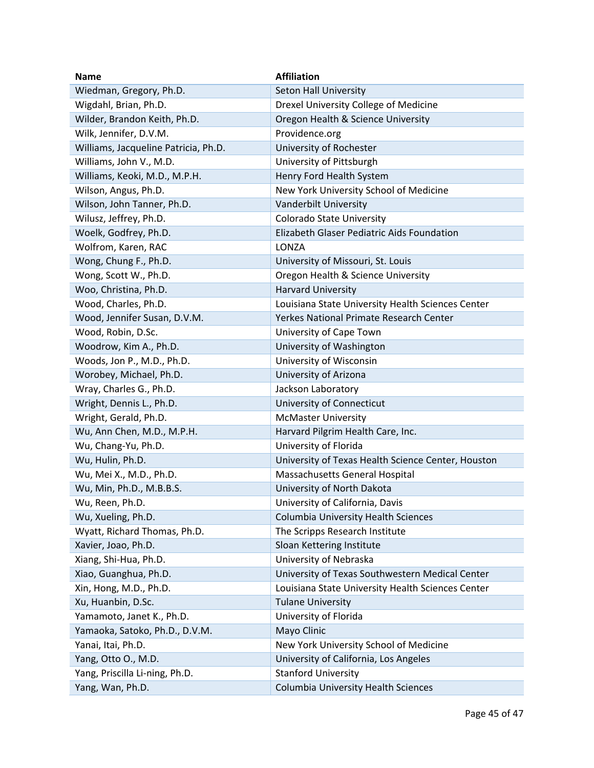| <b>Name</b>                          | <b>Affiliation</b>                                 |
|--------------------------------------|----------------------------------------------------|
| Wiedman, Gregory, Ph.D.              | Seton Hall University                              |
| Wigdahl, Brian, Ph.D.                | Drexel University College of Medicine              |
| Wilder, Brandon Keith, Ph.D.         | Oregon Health & Science University                 |
| Wilk, Jennifer, D.V.M.               | Providence.org                                     |
| Williams, Jacqueline Patricia, Ph.D. | University of Rochester                            |
| Williams, John V., M.D.              | University of Pittsburgh                           |
| Williams, Keoki, M.D., M.P.H.        | Henry Ford Health System                           |
| Wilson, Angus, Ph.D.                 | New York University School of Medicine             |
| Wilson, John Tanner, Ph.D.           | Vanderbilt University                              |
| Wilusz, Jeffrey, Ph.D.               | Colorado State University                          |
| Woelk, Godfrey, Ph.D.                | Elizabeth Glaser Pediatric Aids Foundation         |
| Wolfrom, Karen, RAC                  | LONZA                                              |
| Wong, Chung F., Ph.D.                | University of Missouri, St. Louis                  |
| Wong, Scott W., Ph.D.                | Oregon Health & Science University                 |
| Woo, Christina, Ph.D.                | <b>Harvard University</b>                          |
| Wood, Charles, Ph.D.                 | Louisiana State University Health Sciences Center  |
| Wood, Jennifer Susan, D.V.M.         | Yerkes National Primate Research Center            |
| Wood, Robin, D.Sc.                   | University of Cape Town                            |
| Woodrow, Kim A., Ph.D.               | University of Washington                           |
| Woods, Jon P., M.D., Ph.D.           | University of Wisconsin                            |
| Worobey, Michael, Ph.D.              | University of Arizona                              |
| Wray, Charles G., Ph.D.              | Jackson Laboratory                                 |
| Wright, Dennis L., Ph.D.             | University of Connecticut                          |
| Wright, Gerald, Ph.D.                | <b>McMaster University</b>                         |
| Wu, Ann Chen, M.D., M.P.H.           | Harvard Pilgrim Health Care, Inc.                  |
| Wu, Chang-Yu, Ph.D.                  | University of Florida                              |
| Wu, Hulin, Ph.D.                     | University of Texas Health Science Center, Houston |
| Wu, Mei X., M.D., Ph.D.              | Massachusetts General Hospital                     |
| Wu, Min, Ph.D., M.B.B.S.             | University of North Dakota                         |
| Wu, Reen, Ph.D.                      | University of California, Davis                    |
| Wu, Xueling, Ph.D.                   | Columbia University Health Sciences                |
| Wyatt, Richard Thomas, Ph.D.         | The Scripps Research Institute                     |
| Xavier, Joao, Ph.D.                  | Sloan Kettering Institute                          |
| Xiang, Shi-Hua, Ph.D.                | University of Nebraska                             |
| Xiao, Guanghua, Ph.D.                | University of Texas Southwestern Medical Center    |
| Xin, Hong, M.D., Ph.D.               | Louisiana State University Health Sciences Center  |
| Xu, Huanbin, D.Sc.                   | <b>Tulane University</b>                           |
| Yamamoto, Janet K., Ph.D.            | University of Florida                              |
| Yamaoka, Satoko, Ph.D., D.V.M.       | Mayo Clinic                                        |
| Yanai, Itai, Ph.D.                   | New York University School of Medicine             |
| Yang, Otto O., M.D.                  | University of California, Los Angeles              |
| Yang, Priscilla Li-ning, Ph.D.       | <b>Stanford University</b>                         |
| Yang, Wan, Ph.D.                     | Columbia University Health Sciences                |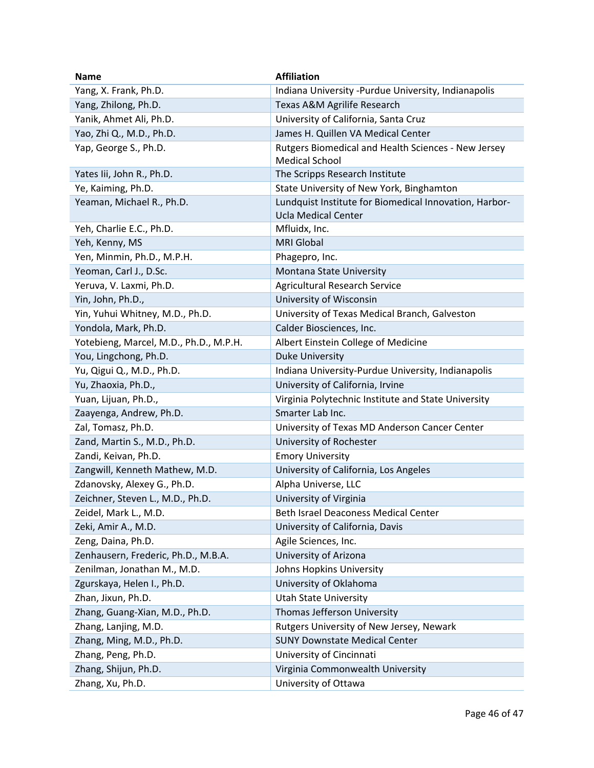| <b>Name</b>                            | <b>Affiliation</b>                                     |
|----------------------------------------|--------------------------------------------------------|
| Yang, X. Frank, Ph.D.                  | Indiana University - Purdue University, Indianapolis   |
| Yang, Zhilong, Ph.D.                   | Texas A&M Agrilife Research                            |
| Yanik, Ahmet Ali, Ph.D.                | University of California, Santa Cruz                   |
| Yao, Zhi Q., M.D., Ph.D.               | James H. Quillen VA Medical Center                     |
| Yap, George S., Ph.D.                  | Rutgers Biomedical and Health Sciences - New Jersey    |
|                                        | <b>Medical School</b>                                  |
| Yates lii, John R., Ph.D.              | The Scripps Research Institute                         |
| Ye, Kaiming, Ph.D.                     | State University of New York, Binghamton               |
| Yeaman, Michael R., Ph.D.              | Lundquist Institute for Biomedical Innovation, Harbor- |
|                                        | <b>Ucla Medical Center</b>                             |
| Yeh, Charlie E.C., Ph.D.               | Mfluidx, Inc.                                          |
| Yeh, Kenny, MS                         | <b>MRI Global</b>                                      |
| Yen, Minmin, Ph.D., M.P.H.             | Phagepro, Inc.                                         |
| Yeoman, Carl J., D.Sc.                 | Montana State University                               |
| Yeruva, V. Laxmi, Ph.D.                | <b>Agricultural Research Service</b>                   |
| Yin, John, Ph.D.,                      | University of Wisconsin                                |
| Yin, Yuhui Whitney, M.D., Ph.D.        | University of Texas Medical Branch, Galveston          |
| Yondola, Mark, Ph.D.                   | Calder Biosciences, Inc.                               |
| Yotebieng, Marcel, M.D., Ph.D., M.P.H. | Albert Einstein College of Medicine                    |
| You, Lingchong, Ph.D.                  | <b>Duke University</b>                                 |
| Yu, Qigui Q., M.D., Ph.D.              | Indiana University-Purdue University, Indianapolis     |
| Yu, Zhaoxia, Ph.D.,                    | University of California, Irvine                       |
| Yuan, Lijuan, Ph.D.,                   | Virginia Polytechnic Institute and State University    |
| Zaayenga, Andrew, Ph.D.                | Smarter Lab Inc.                                       |
| Zal, Tomasz, Ph.D.                     | University of Texas MD Anderson Cancer Center          |
| Zand, Martin S., M.D., Ph.D.           | University of Rochester                                |
| Zandi, Keivan, Ph.D.                   | <b>Emory University</b>                                |
| Zangwill, Kenneth Mathew, M.D.         | University of California, Los Angeles                  |
| Zdanovsky, Alexey G., Ph.D.            | Alpha Universe, LLC                                    |
| Zeichner, Steven L., M.D., Ph.D.       | University of Virginia                                 |
| Zeidel, Mark L., M.D.                  | Beth Israel Deaconess Medical Center                   |
| Zeki, Amir A., M.D.                    | University of California, Davis                        |
| Zeng, Daina, Ph.D.                     | Agile Sciences, Inc.                                   |
| Zenhausern, Frederic, Ph.D., M.B.A.    | University of Arizona                                  |
| Zenilman, Jonathan M., M.D.            | Johns Hopkins University                               |
| Zgurskaya, Helen I., Ph.D.             | University of Oklahoma                                 |
| Zhan, Jixun, Ph.D.                     | <b>Utah State University</b>                           |
| Zhang, Guang-Xian, M.D., Ph.D.         | Thomas Jefferson University                            |
| Zhang, Lanjing, M.D.                   | Rutgers University of New Jersey, Newark               |
| Zhang, Ming, M.D., Ph.D.               | <b>SUNY Downstate Medical Center</b>                   |
| Zhang, Peng, Ph.D.                     | University of Cincinnati                               |
| Zhang, Shijun, Ph.D.                   | Virginia Commonwealth University                       |
| Zhang, Xu, Ph.D.                       | University of Ottawa                                   |